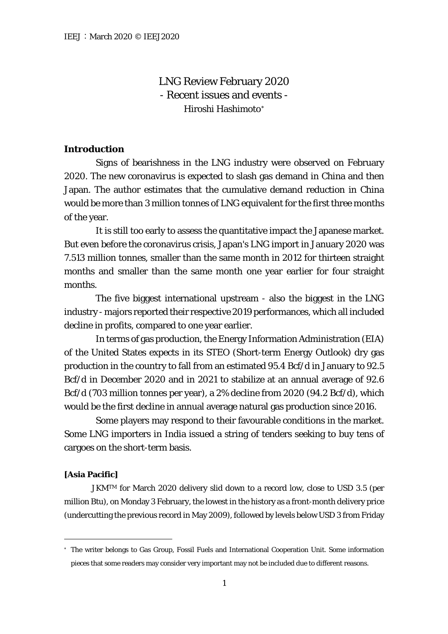LNG Review February 2020 - Recent issues and events - Hiroshi Hashimoto[∗](#page-0-0)

# **Introduction**

Signs of bearishness in the LNG industry were observed on February 2020. The new coronavirus is expected to slash gas demand in China and then Japan. The author estimates that the cumulative demand reduction in China would be more than 3 million tonnes of LNG equivalent for the first three months of the year.

It is still too early to assess the quantitative impact the Japanese market. But even before the coronavirus crisis, Japan's LNG import in January 2020 was 7.513 million tonnes, smaller than the same month in 2012 for thirteen straight months and smaller than the same month one year earlier for four straight months.

The five biggest international upstream - also the biggest in the LNG industry - majors reported their respective 2019 performances, which all included decline in profits, compared to one year earlier.

In terms of gas production, the Energy Information Administration (EIA) of the United States expects in its STEO (Short-term Energy Outlook) dry gas production in the country to fall from an estimated 95.4 Bcf/d in January to 92.5 Bcf/d in December 2020 and in 2021 to stabilize at an annual average of 92.6 Bcf/d (703 million tonnes per year), a 2% decline from 2020 (94.2 Bcf/d), which would be the first decline in annual average natural gas production since 2016.

Some players may respond to their favourable conditions in the market. Some LNG importers in India issued a string of tenders seeking to buy tens of cargoes on the short-term basis.

## **[Asia Pacific]**

JKMTM for March 2020 delivery slid down to a record low, close to USD 3.5 (per million Btu), on Monday 3 February, the lowest in the history as a front-month delivery price (undercutting the previous record in May 2009), followed by levels below USD 3 from Friday

<span id="page-0-0"></span><sup>∗</sup> The writer belongs to Gas Group, Fossil Fuels and International Cooperation Unit. Some information pieces that some readers may consider very important may not be included due to different reasons.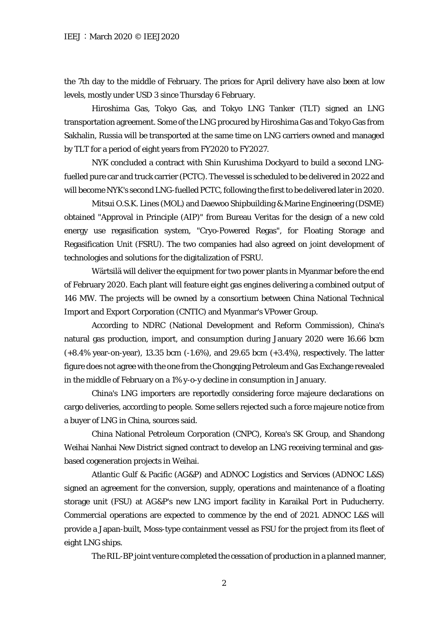the 7th day to the middle of February. The prices for April delivery have also been at low levels, mostly under USD 3 since Thursday 6 February.

Hiroshima Gas, Tokyo Gas, and Tokyo LNG Tanker (TLT) signed an LNG transportation agreement. Some of the LNG procured by Hiroshima Gas and Tokyo Gas from Sakhalin, Russia will be transported at the same time on LNG carriers owned and managed by TLT for a period of eight years from FY2020 to FY2027.

NYK concluded a contract with Shin Kurushima Dockyard to build a second LNGfuelled pure car and truck carrier (PCTC). The vessel is scheduled to be delivered in 2022 and will become NYK's second LNG-fuelled PCTC, following the first to be delivered later in 2020.

Mitsui O.S.K. Lines (MOL) and Daewoo Shipbuilding & Marine Engineering (DSME) obtained "Approval in Principle (AIP)" from Bureau Veritas for the design of a new cold energy use regasification system, "Cryo-Powered Regas", for Floating Storage and Regasification Unit (FSRU). The two companies had also agreed on joint development of technologies and solutions for the digitalization of FSRU.

Wärtsilä will deliver the equipment for two power plants in Myanmar before the end of February 2020. Each plant will feature eight gas engines delivering a combined output of 146 MW. The projects will be owned by a consortium between China National Technical Import and Export Corporation (CNTIC) and Myanmar's VPower Group.

According to NDRC (National Development and Reform Commission), China's natural gas production, import, and consumption during January 2020 were 16.66 bcm (+8.4% year-on-year), 13.35 bcm (-1.6%), and 29.65 bcm (+3.4%), respectively. The latter figure does not agree with the one from the Chongqing Petroleum and Gas Exchange revealed in the middle of February on a 1% y-o-y decline in consumption in January.

China's LNG importers are reportedly considering force majeure declarations on cargo deliveries, according to people. Some sellers rejected such a force majeure notice from a buyer of LNG in China, sources said.

China National Petroleum Corporation (CNPC), Korea's SK Group, and Shandong Weihai Nanhai New District signed contract to develop an LNG receiving terminal and gasbased cogeneration projects in Weihai.

Atlantic Gulf & Pacific (AG&P) and ADNOC Logistics and Services (ADNOC L&S) signed an agreement for the conversion, supply, operations and maintenance of a floating storage unit (FSU) at AG&P's new LNG import facility in Karaikal Port in Puducherry. Commercial operations are expected to commence by the end of 2021. ADNOC L&S will provide a Japan-built, Moss-type containment vessel as FSU for the project from its fleet of eight LNG ships.

The RIL-BP joint venture completed the cessation of production in a planned manner,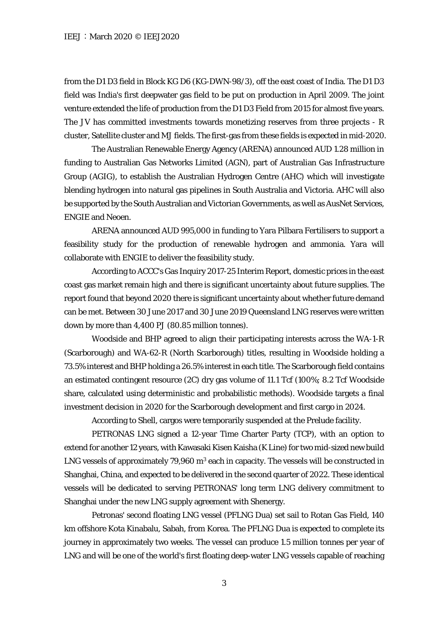from the D1 D3 field in Block KG D6 (KG-DWN-98/3), off the east coast of India. The D1 D3 field was India's first deepwater gas field to be put on production in April 2009. The joint venture extended the life of production from the D1 D3 Field from 2015 for almost five years. The JV has committed investments towards monetizing reserves from three projects - R cluster, Satellite cluster and MJ fields. The first-gas from these fields is expected in mid-2020.

The Australian Renewable Energy Agency (ARENA) announced AUD 1.28 million in funding to Australian Gas Networks Limited (AGN), part of Australian Gas Infrastructure Group (AGIG), to establish the Australian Hydrogen Centre (AHC) which will investigate blending hydrogen into natural gas pipelines in South Australia and Victoria. AHC will also be supported by the South Australian and Victorian Governments, as well as AusNet Services, ENGIE and Neoen.

ARENA announced AUD 995,000 in funding to Yara Pilbara Fertilisers to support a feasibility study for the production of renewable hydrogen and ammonia. Yara will collaborate with ENGIE to deliver the feasibility study.

According to ACCC's Gas Inquiry 2017-25 Interim Report, domestic prices in the east coast gas market remain high and there is significant uncertainty about future supplies. The report found that beyond 2020 there is significant uncertainty about whether future demand can be met. Between 30 June 2017 and 30 June 2019 Queensland LNG reserves were written down by more than 4,400 PJ (80.85 million tonnes).

Woodside and BHP agreed to align their participating interests across the WA-1-R (Scarborough) and WA-62-R (North Scarborough) titles, resulting in Woodside holding a 73.5% interest and BHP holding a 26.5% interest in each title. The Scarborough field contains an estimated contingent resource (2C) dry gas volume of 11.1 Tcf (100%; 8.2 Tcf Woodside share, calculated using deterministic and probabilistic methods). Woodside targets a final investment decision in 2020 for the Scarborough development and first cargo in 2024.

According to Shell, cargos were temporarily suspended at the Prelude facility.

PETRONAS LNG signed a 12-year Time Charter Party (TCP), with an option to extend for another 12 years, with Kawasaki Kisen Kaisha (K Line) for two mid-sized new build LNG vessels of approximately 79,960 m<sup>3</sup> each in capacity. The vessels will be constructed in Shanghai, China, and expected to be delivered in the second quarter of 2022. These identical vessels will be dedicated to serving PETRONAS' long term LNG delivery commitment to Shanghai under the new LNG supply agreement with Shenergy.

Petronas' second floating LNG vessel (PFLNG Dua) set sail to Rotan Gas Field, 140 km offshore Kota Kinabalu, Sabah, from Korea. The PFLNG Dua is expected to complete its journey in approximately two weeks. The vessel can produce 1.5 million tonnes per year of LNG and will be one of the world's first floating deep-water LNG vessels capable of reaching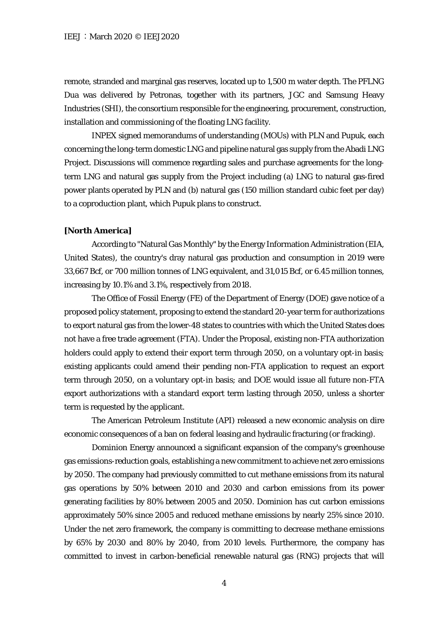remote, stranded and marginal gas reserves, located up to 1,500 m water depth. The PFLNG Dua was delivered by Petronas, together with its partners, JGC and Samsung Heavy Industries (SHI), the consortium responsible for the engineering, procurement, construction, installation and commissioning of the floating LNG facility.

INPEX signed memorandums of understanding (MOUs) with PLN and Pupuk, each concerning the long-term domestic LNG and pipeline natural gas supply from the Abadi LNG Project. Discussions will commence regarding sales and purchase agreements for the longterm LNG and natural gas supply from the Project including (a) LNG to natural gas-fired power plants operated by PLN and (b) natural gas (150 million standard cubic feet per day) to a coproduction plant, which Pupuk plans to construct.

#### **[North America]**

According to "Natural Gas Monthly" by the Energy Information Administration (EIA, United States), the country's dray natural gas production and consumption in 2019 were 33,667 Bcf, or 700 million tonnes of LNG equivalent, and 31,015 Bcf, or 6.45 million tonnes, increasing by 10.1% and 3.1%, respectively from 2018.

The Office of Fossil Energy (FE) of the Department of Energy (DOE) gave notice of a proposed policy statement, proposing to extend the standard 20-year term for authorizations to export natural gas from the lower-48 states to countries with which the United States does not have a free trade agreement (FTA). Under the Proposal, existing non-FTA authorization holders could apply to extend their export term through 2050, on a voluntary opt-in basis; existing applicants could amend their pending non-FTA application to request an export term through 2050, on a voluntary opt-in basis; and DOE would issue all future non-FTA export authorizations with a standard export term lasting through 2050, unless a shorter term is requested by the applicant.

The American Petroleum Institute (API) released a new economic analysis on dire economic consequences of a ban on federal leasing and hydraulic fracturing (or fracking).

Dominion Energy announced a significant expansion of the company's greenhouse gas emissions-reduction goals, establishing a new commitment to achieve net zero emissions by 2050. The company had previously committed to cut methane emissions from its natural gas operations by 50% between 2010 and 2030 and carbon emissions from its power generating facilities by 80% between 2005 and 2050. Dominion has cut carbon emissions approximately 50% since 2005 and reduced methane emissions by nearly 25% since 2010. Under the net zero framework, the company is committing to decrease methane emissions by 65% by 2030 and 80% by 2040, from 2010 levels. Furthermore, the company has committed to invest in carbon-beneficial renewable natural gas (RNG) projects that will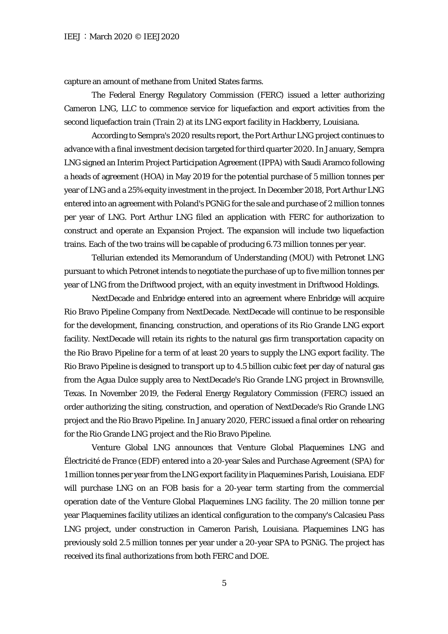capture an amount of methane from United States farms.

The Federal Energy Regulatory Commission (FERC) issued a letter authorizing Cameron LNG, LLC to commence service for liquefaction and export activities from the second liquefaction train (Train 2) at its LNG export facility in Hackberry, Louisiana.

According to Sempra's 2020 results report, the Port Arthur LNG project continues to advance with a final investment decision targeted for third quarter 2020. In January, Sempra LNG signed an Interim Project Participation Agreement (IPPA) with Saudi Aramco following a heads of agreement (HOA) in May 2019 for the potential purchase of 5 million tonnes per year of LNG and a 25% equity investment in the project. In December 2018, Port Arthur LNG entered into an agreement with Poland's PGNiG for the sale and purchase of 2 million tonnes per year of LNG. Port Arthur LNG filed an application with FERC for authorization to construct and operate an Expansion Project. The expansion will include two liquefaction trains. Each of the two trains will be capable of producing 6.73 million tonnes per year.

Tellurian extended its Memorandum of Understanding (MOU) with Petronet LNG pursuant to which Petronet intends to negotiate the purchase of up to five million tonnes per year of LNG from the Driftwood project, with an equity investment in Driftwood Holdings.

NextDecade and Enbridge entered into an agreement where Enbridge will acquire Rio Bravo Pipeline Company from NextDecade. NextDecade will continue to be responsible for the development, financing, construction, and operations of its Rio Grande LNG export facility. NextDecade will retain its rights to the natural gas firm transportation capacity on the Rio Bravo Pipeline for a term of at least 20 years to supply the LNG export facility. The Rio Bravo Pipeline is designed to transport up to 4.5 billion cubic feet per day of natural gas from the Agua Dulce supply area to NextDecade's Rio Grande LNG project in Brownsville, Texas. In November 2019, the Federal Energy Regulatory Commission (FERC) issued an order authorizing the siting, construction, and operation of NextDecade's Rio Grande LNG project and the Rio Bravo Pipeline. In January 2020, FERC issued a final order on rehearing for the Rio Grande LNG project and the Rio Bravo Pipeline.

Venture Global LNG announces that Venture Global Plaquemines LNG and Électricité de France (EDF) entered into a 20-year Sales and Purchase Agreement (SPA) for 1 million tonnes per year from the LNG export facility in Plaquemines Parish, Louisiana. EDF will purchase LNG on an FOB basis for a 20-year term starting from the commercial operation date of the Venture Global Plaquemines LNG facility. The 20 million tonne per year Plaquemines facility utilizes an identical configuration to the company's Calcasieu Pass LNG project, under construction in Cameron Parish, Louisiana. Plaquemines LNG has previously sold 2.5 million tonnes per year under a 20-year SPA to PGNiG. The project has received its final authorizations from both FERC and DOE.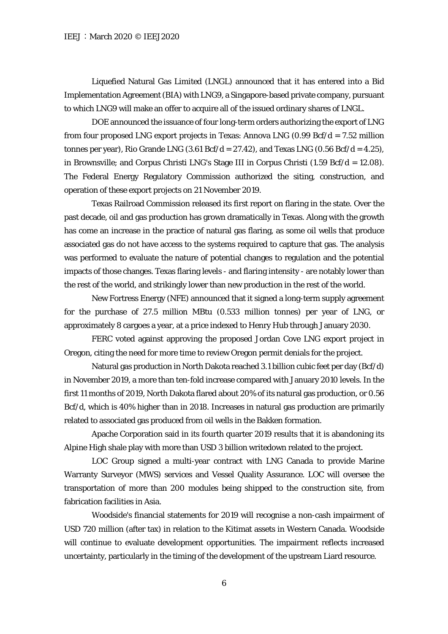Liquefied Natural Gas Limited (LNGL) announced that it has entered into a Bid Implementation Agreement (BIA) with LNG9, a Singapore-based private company, pursuant to which LNG9 will make an offer to acquire all of the issued ordinary shares of LNGL.

DOE announced the issuance of four long-term orders authorizing the export of LNG from four proposed LNG export projects in Texas: Annova LNG  $(0.99 \text{ Bcf}/d = 7.52 \text{ million}$ tonnes per year), Rio Grande LNG  $(3.61 \text{ Bcf}/d = 27.42)$ , and Texas LNG  $(0.56 \text{ Bcf}/d = 4.25)$ , in Brownsville; and Corpus Christi LNG's Stage III in Corpus Christi (1.59 Bcf/d = 12.08). The Federal Energy Regulatory Commission authorized the siting, construction, and operation of these export projects on 21 November 2019.

Texas Railroad Commission released its first report on flaring in the state. Over the past decade, oil and gas production has grown dramatically in Texas. Along with the growth has come an increase in the practice of natural gas flaring, as some oil wells that produce associated gas do not have access to the systems required to capture that gas. The analysis was performed to evaluate the nature of potential changes to regulation and the potential impacts of those changes. Texas flaring levels - and flaring intensity - are notably lower than the rest of the world, and strikingly lower than new production in the rest of the world.

New Fortress Energy (NFE) announced that it signed a long-term supply agreement for the purchase of 27.5 million MBtu (0.533 million tonnes) per year of LNG, or approximately 8 cargoes a year, at a price indexed to Henry Hub through January 2030.

FERC voted against approving the proposed Jordan Cove LNG export project in Oregon, citing the need for more time to review Oregon permit denials for the project.

Natural gas production in North Dakota reached 3.1 billion cubic feet per day (Bcf/d) in November 2019, a more than ten-fold increase compared with January 2010 levels. In the first 11 months of 2019, North Dakota flared about 20% of its natural gas production, or 0.56 Bcf/d, which is 40% higher than in 2018. Increases in natural gas production are primarily related to associated gas produced from oil wells in the Bakken formation.

Apache Corporation said in its fourth quarter 2019 results that it is abandoning its Alpine High shale play with more than USD 3 billion writedown related to the project.

LOC Group signed a multi-year contract with LNG Canada to provide Marine Warranty Surveyor (MWS) services and Vessel Quality Assurance. LOC will oversee the transportation of more than 200 modules being shipped to the construction site, from fabrication facilities in Asia.

Woodside's financial statements for 2019 will recognise a non-cash impairment of USD 720 million (after tax) in relation to the Kitimat assets in Western Canada. Woodside will continue to evaluate development opportunities. The impairment reflects increased uncertainty, particularly in the timing of the development of the upstream Liard resource.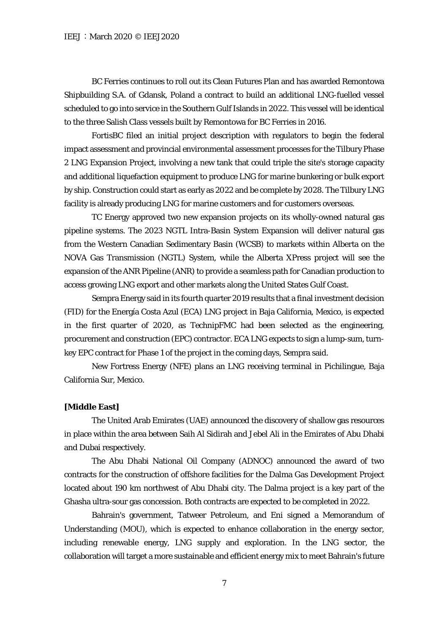BC Ferries continues to roll out its Clean Futures Plan and has awarded Remontowa Shipbuilding S.A. of Gdansk, Poland a contract to build an additional LNG-fuelled vessel scheduled to go into service in the Southern Gulf Islands in 2022. This vessel will be identical to the three Salish Class vessels built by Remontowa for BC Ferries in 2016.

FortisBC filed an initial project description with regulators to begin the federal impact assessment and provincial environmental assessment processes for the Tilbury Phase 2 LNG Expansion Project, involving a new tank that could triple the site's storage capacity and additional liquefaction equipment to produce LNG for marine bunkering or bulk export by ship. Construction could start as early as 2022 and be complete by 2028. The Tilbury LNG facility is already producing LNG for marine customers and for customers overseas.

TC Energy approved two new expansion projects on its wholly-owned natural gas pipeline systems. The 2023 NGTL Intra-Basin System Expansion will deliver natural gas from the Western Canadian Sedimentary Basin (WCSB) to markets within Alberta on the NOVA Gas Transmission (NGTL) System, while the Alberta XPress project will see the expansion of the ANR Pipeline (ANR) to provide a seamless path for Canadian production to access growing LNG export and other markets along the United States Gulf Coast.

Sempra Energy said in its fourth quarter 2019 results that a final investment decision (FID) for the Energía Costa Azul (ECA) LNG project in Baja California, Mexico, is expected in the first quarter of 2020, as TechnipFMC had been selected as the engineering, procurement and construction (EPC) contractor. ECA LNG expects to sign a lump-sum, turnkey EPC contract for Phase 1 of the project in the coming days, Sempra said.

New Fortress Energy (NFE) plans an LNG receiving terminal in Pichilingue, Baja California Sur, Mexico.

### **[Middle East]**

The United Arab Emirates (UAE) announced the discovery of shallow gas resources in place within the area between Saih Al Sidirah and Jebel Ali in the Emirates of Abu Dhabi and Dubai respectively.

The Abu Dhabi National Oil Company (ADNOC) announced the award of two contracts for the construction of offshore facilities for the Dalma Gas Development Project located about 190 km northwest of Abu Dhabi city. The Dalma project is a key part of the Ghasha ultra-sour gas concession. Both contracts are expected to be completed in 2022.

Bahrain's government, Tatweer Petroleum, and Eni signed a Memorandum of Understanding (MOU), which is expected to enhance collaboration in the energy sector, including renewable energy, LNG supply and exploration. In the LNG sector, the collaboration will target a more sustainable and efficient energy mix to meet Bahrain's future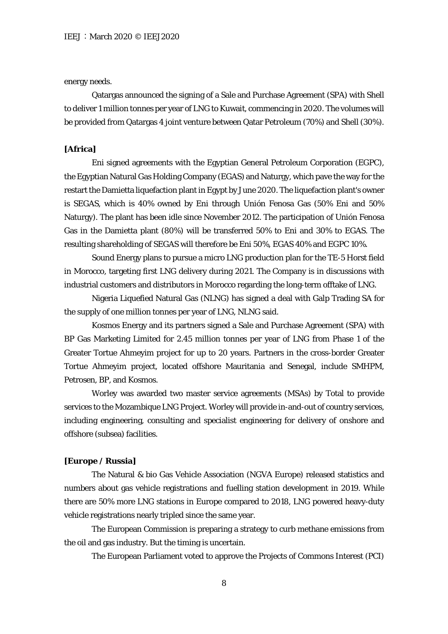#### energy needs.

Qatargas announced the signing of a Sale and Purchase Agreement (SPA) with Shell to deliver 1 million tonnes per year of LNG to Kuwait, commencing in 2020. The volumes will be provided from Qatargas 4 joint venture between Qatar Petroleum (70%) and Shell (30%).

## **[Africa]**

Eni signed agreements with the Egyptian General Petroleum Corporation (EGPC), the Egyptian Natural Gas Holding Company (EGAS) and Naturgy, which pave the way for the restart the Damietta liquefaction plant in Egypt by June 2020. The liquefaction plant's owner is SEGAS, which is 40% owned by Eni through Unión Fenosa Gas (50% Eni and 50% Naturgy). The plant has been idle since November 2012. The participation of Unión Fenosa Gas in the Damietta plant (80%) will be transferred 50% to Eni and 30% to EGAS. The resulting shareholding of SEGAS will therefore be Eni 50%, EGAS 40% and EGPC 10%.

Sound Energy plans to pursue a micro LNG production plan for the TE-5 Horst field in Morocco, targeting first LNG delivery during 2021. The Company is in discussions with industrial customers and distributors in Morocco regarding the long-term offtake of LNG.

Nigeria Liquefied Natural Gas (NLNG) has signed a deal with Galp Trading SA for the supply of one million tonnes per year of LNG, NLNG said.

Kosmos Energy and its partners signed a Sale and Purchase Agreement (SPA) with BP Gas Marketing Limited for 2.45 million tonnes per year of LNG from Phase 1 of the Greater Tortue Ahmeyim project for up to 20 years. Partners in the cross-border Greater Tortue Ahmeyim project, located offshore Mauritania and Senegal, include SMHPM, Petrosen, BP, and Kosmos.

Worley was awarded two master service agreements (MSAs) by Total to provide services to the Mozambique LNG Project. Worley will provide in-and-out of country services, including engineering, consulting and specialist engineering for delivery of onshore and offshore (subsea) facilities.

#### **[Europe / Russia]**

The Natural & bio Gas Vehicle Association (NGVA Europe) released statistics and numbers about gas vehicle registrations and fuelling station development in 2019. While there are 50% more LNG stations in Europe compared to 2018, LNG powered heavy-duty vehicle registrations nearly tripled since the same year.

The European Commission is preparing a strategy to curb methane emissions from the oil and gas industry. But the timing is uncertain.

The European Parliament voted to approve the Projects of Commons Interest (PCI)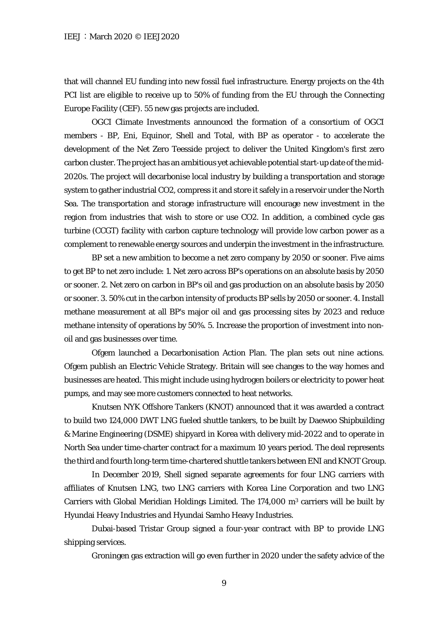that will channel EU funding into new fossil fuel infrastructure. Energy projects on the 4th PCI list are eligible to receive up to 50% of funding from the EU through the Connecting Europe Facility (CEF). 55 new gas projects are included.

OGCI Climate Investments announced the formation of a consortium of OGCI members - BP, Eni, Equinor, Shell and Total, with BP as operator - to accelerate the development of the Net Zero Teesside project to deliver the United Kingdom's first zero carbon cluster. The project has an ambitious yet achievable potential start-up date of the mid-2020s. The project will decarbonise local industry by building a transportation and storage system to gather industrial CO2, compress it and store it safely in a reservoir under the North Sea. The transportation and storage infrastructure will encourage new investment in the region from industries that wish to store or use CO2. In addition, a combined cycle gas turbine (CCGT) facility with carbon capture technology will provide low carbon power as a complement to renewable energy sources and underpin the investment in the infrastructure.

BP set a new ambition to become a net zero company by 2050 or sooner. Five aims to get BP to net zero include: 1. Net zero across BP's operations on an absolute basis by 2050 or sooner. 2. Net zero on carbon in BP's oil and gas production on an absolute basis by 2050 or sooner. 3. 50% cut in the carbon intensity of products BP sells by 2050 or sooner. 4. Install methane measurement at all BP's major oil and gas processing sites by 2023 and reduce methane intensity of operations by 50%. 5. Increase the proportion of investment into nonoil and gas businesses over time.

Ofgem launched a Decarbonisation Action Plan. The plan sets out nine actions. Ofgem publish an Electric Vehicle Strategy. Britain will see changes to the way homes and businesses are heated. This might include using hydrogen boilers or electricity to power heat pumps, and may see more customers connected to heat networks.

Knutsen NYK Offshore Tankers (KNOT) announced that it was awarded a contract to build two 124,000 DWT LNG fueled shuttle tankers, to be built by Daewoo Shipbuilding & Marine Engineering (DSME) shipyard in Korea with delivery mid-2022 and to operate in North Sea under time-charter contract for a maximum 10 years period. The deal represents the third and fourth long-term time-chartered shuttle tankers between ENI and KNOT Group.

In December 2019, Shell signed separate agreements for four LNG carriers with affiliates of Knutsen LNG, two LNG carriers with Korea Line Corporation and two LNG Carriers with Global Meridian Holdings Limited. The  $174,000$  m<sup>3</sup> carriers will be built by Hyundai Heavy Industries and Hyundai Samho Heavy Industries.

Dubai-based Tristar Group signed a four-year contract with BP to provide LNG shipping services.

Groningen gas extraction will go even further in 2020 under the safety advice of the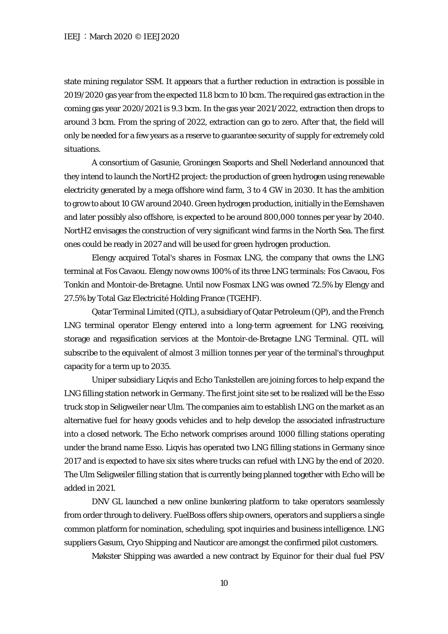state mining regulator SSM. It appears that a further reduction in extraction is possible in 2019/2020 gas year from the expected 11.8 bcm to 10 bcm. The required gas extraction in the coming gas year 2020/2021 is 9.3 bcm. In the gas year 2021/2022, extraction then drops to around 3 bcm. From the spring of 2022, extraction can go to zero. After that, the field will only be needed for a few years as a reserve to guarantee security of supply for extremely cold situations.

A consortium of Gasunie, Groningen Seaports and Shell Nederland announced that they intend to launch the NortH2 project: the production of green hydrogen using renewable electricity generated by a mega offshore wind farm, 3 to 4 GW in 2030. It has the ambition to grow to about 10 GW around 2040. Green hydrogen production, initially in the Eemshaven and later possibly also offshore, is expected to be around 800,000 tonnes per year by 2040. NortH2 envisages the construction of very significant wind farms in the North Sea. The first ones could be ready in 2027 and will be used for green hydrogen production.

Elengy acquired Total's shares in Fosmax LNG, the company that owns the LNG terminal at Fos Cavaou. Elengy now owns 100% of its three LNG terminals: Fos Cavaou, Fos Tonkin and Montoir-de-Bretagne. Until now Fosmax LNG was owned 72.5% by Elengy and 27.5% by Total Gaz Electricité Holding France (TGEHF).

Qatar Terminal Limited (QTL), a subsidiary of Qatar Petroleum (QP), and the French LNG terminal operator Elengy entered into a long-term agreement for LNG receiving, storage and regasification services at the Montoir-de-Bretagne LNG Terminal. QTL will subscribe to the equivalent of almost 3 million tonnes per year of the terminal's throughput capacity for a term up to 2035.

Uniper subsidiary Liqvis and Echo Tankstellen are joining forces to help expand the LNG filling station network in Germany. The first joint site set to be realized will be the Esso truck stop in Seligweiler near Ulm. The companies aim to establish LNG on the market as an alternative fuel for heavy goods vehicles and to help develop the associated infrastructure into a closed network. The Echo network comprises around 1000 filling stations operating under the brand name Esso. Liqvis has operated two LNG filling stations in Germany since 2017 and is expected to have six sites where trucks can refuel with LNG by the end of 2020. The Ulm Seligweiler filling station that is currently being planned together with Echo will be added in 2021.

DNV GL launched a new online bunkering platform to take operators seamlessly from order through to delivery. FuelBoss offers ship owners, operators and suppliers a single common platform for nomination, scheduling, spot inquiries and business intelligence. LNG suppliers Gasum, Cryo Shipping and Nauticor are amongst the confirmed pilot customers.

Møkster Shipping was awarded a new contract by Equinor for their dual fuel PSV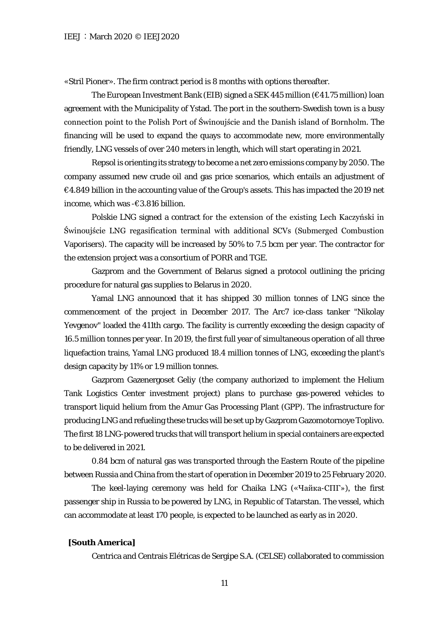«Stril Pioner». The firm contract period is 8 months with options thereafter.

The European Investment Bank (EIB) signed a SEK 445 million (€41.75 million) loan agreement with the Municipality of Ystad. The port in the southern-Swedish town is a busy connection point to the Polish Port of Świnoujście and the Danish island of Bornholm. The financing will be used to expand the quays to accommodate new, more environmentally friendly, LNG vessels of over 240 meters in length, which will start operating in 2021.

Repsol is orienting its strategy to become a net zero emissions company by 2050. The company assumed new crude oil and gas price scenarios, which entails an adjustment of  $\epsilon$ 4.849 billion in the accounting value of the Group's assets. This has impacted the 2019 net income, which was -€3.816 billion.

Polskie LNG signed a contract for the extension of the existing Lech Kaczyński in Świnoujście LNG regasification terminal with additional SCVs (Submerged Combustion Vaporisers). The capacity will be increased by 50% to 7.5 bcm per year. The contractor for the extension project was a consortium of PORR and TGE.

Gazprom and the Government of Belarus signed a protocol outlining the pricing procedure for natural gas supplies to Belarus in 2020.

Yamal LNG announced that it has shipped 30 million tonnes of LNG since the commencement of the project in December 2017. The Arc7 ice-class tanker "Nikolay Yevgenov" loaded the 411th cargo. The facility is currently exceeding the design capacity of 16.5 million tonnes per year. In 2019, the first full year of simultaneous operation of all three liquefaction trains, Yamal LNG produced 18.4 million tonnes of LNG, exceeding the plant's design capacity by 11% or 1.9 million tonnes.

Gazprom Gazenergoset Geliy (the company authorized to implement the Helium Tank Logistics Center investment project) plans to purchase gas-powered vehicles to transport liquid helium from the Amur Gas Processing Plant (GPP). The infrastructure for producing LNG and refueling these trucks will be set up by Gazprom Gazomotornoye Toplivo. The first 18 LNG-powered trucks that will transport helium in special containers are expected to be delivered in 2021.

0.84 bcm of natural gas was transported through the Eastern Route of the pipeline between Russia and China from the start of operation in December 2019 to 25 February 2020.

The keel-laying ceremony was held for Chaika LNG («Чайка-СПГ»), the first passenger ship in Russia to be powered by LNG, in Republic of Tatarstan. The vessel, which can accommodate at least 170 people, is expected to be launched as early as in 2020.

#### **[South America]**

Centrica and Centrais Elétricas de Sergipe S.A. (CELSE) collaborated to commission